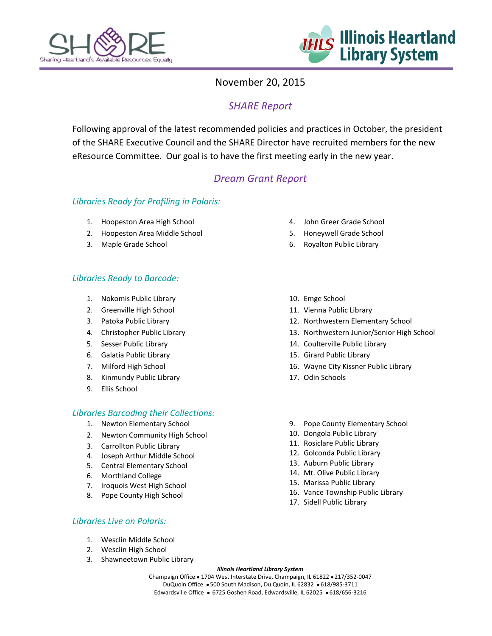



### November 20, 2015

# *SHARE Report*

Following approval of the latest recommended policies and practices in October, the president of the SHARE Executive Council and the SHARE Director have recruited members for the new eResource Committee. Our goal is to have the first meeting early in the new year.

# *Dream Grant Report*

### *Libraries Ready for Profiling in Polaris:*

- 1. Hoopeston Area High School
- 2. Hoopeston Area Middle School
- 3. Maple Grade School

### *Libraries Ready to Barcode:*

- 1. Nokomis Public Library
- 2. Greenville High School
- 3. Patoka Public Library
- 4. Christopher Public Library
- 5. Sesser Public Library
- 6. Galatia Public Library
- 7. Milford High School
- 8. Kinmundy Public Library
- 9. Ellis School

#### *Libraries Barcoding their Collections:*

- 1. Newton Elementary School
- 2. Newton Community High School
- 3. Carrollton Public Library
- 4. Joseph Arthur Middle School
- 5. Central Elementary School
- 6. Morthland College
- 7. Iroquois West High School
- 8. Pope County High School
- 4. John Greer Grade School
- 5. Honeywell Grade School
- 6. Royalton Public Library
- 10. Emge School
- 11. Vienna Public Library
- 12. Northwestern Elementary School
- 13. Northwestern Junior/Senior High School
- 14. Coulterville Public Library
- 15. Girard Public Library
- 16. Wayne City Kissner Public Library
- 17. Odin Schools
- 9. Pope County Elementary School
- 10. Dongola Public Library
- 11. Rosiclare Public Library
- 12. Golconda Public Library
- 13. Auburn Public Library
- 14. Mt. Olive Public Library
- 15. Marissa Public Library
- 16. Vance Township Public Library
- 17. Sidell Public Library

### *Libraries Live on Polaris:*

- 1. Wesclin Middle School
- 2. Wesclin High School
- 3. Shawneetown Public Library

#### *Illinois Heartland Library System*

Champaign Office . 1704 West Interstate Drive, Champaign, IL 61822 . 217/352-0047 DuQuoin Office . 500 South Madison, Du Quoin, IL 62832 . 618/985-3711 Edwardsville Office · 6725 Goshen Road, Edwardsville, IL 62025 · 618/656-3216